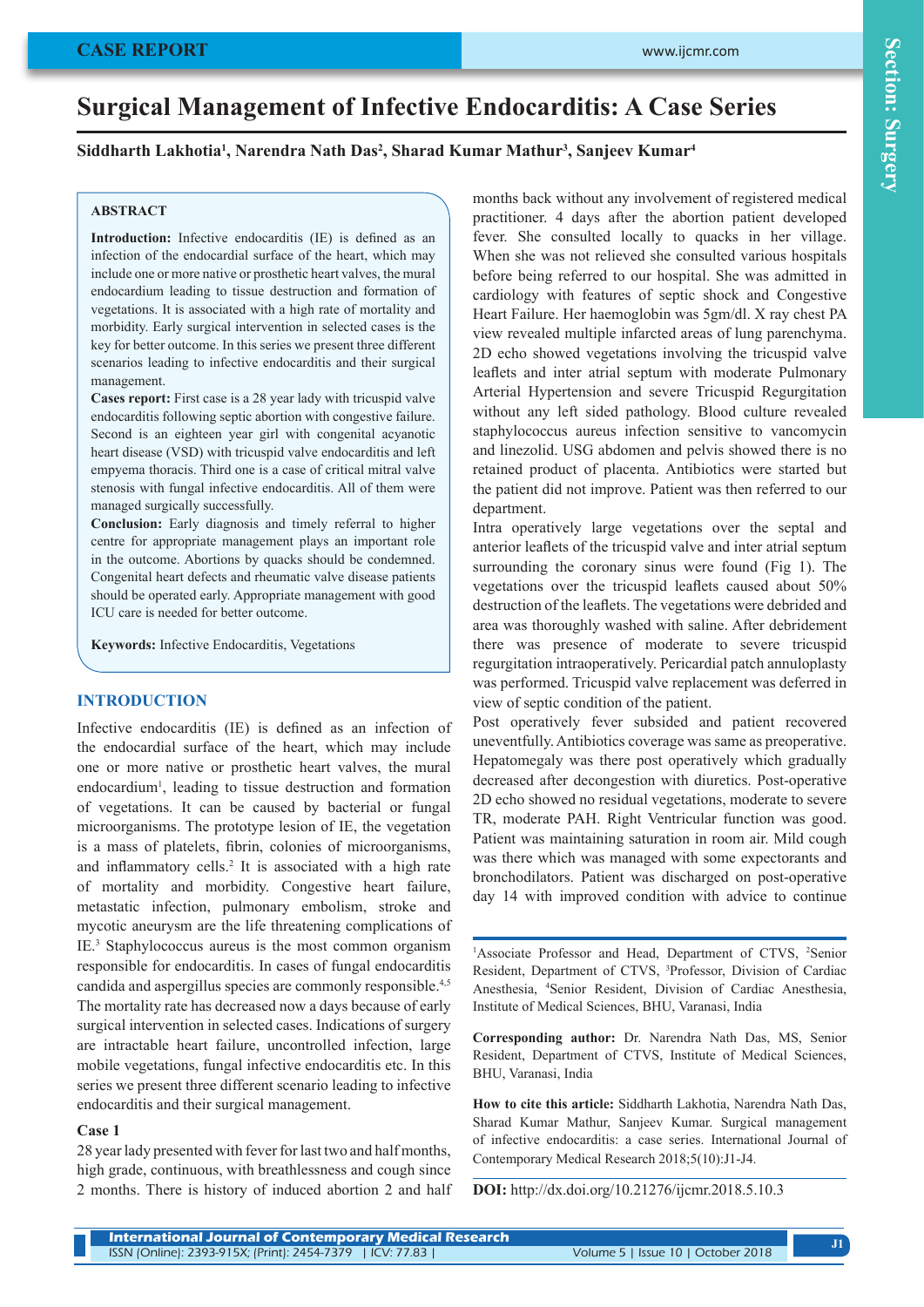# **Surgical Management of Infective Endocarditis: A Case Series**

# **Siddharth Lakhotia1 , Narendra Nath Das2 , Sharad Kumar Mathur3 , Sanjeev Kumar4**

## **ABSTRACT**

**Introduction:** Infective endocarditis (IE) is defined as an infection of the endocardial surface of the heart, which may include one or more native or prosthetic heart valves, the mural endocardium leading to tissue destruction and formation of vegetations. It is associated with a high rate of mortality and morbidity. Early surgical intervention in selected cases is the key for better outcome. In this series we present three different scenarios leading to infective endocarditis and their surgical management.

**Cases report:** First case is a 28 year lady with tricuspid valve endocarditis following septic abortion with congestive failure. Second is an eighteen year girl with congenital acyanotic heart disease (VSD) with tricuspid valve endocarditis and left empyema thoracis. Third one is a case of critical mitral valve stenosis with fungal infective endocarditis. All of them were managed surgically successfully.

**Conclusion:** Early diagnosis and timely referral to higher centre for appropriate management plays an important role in the outcome. Abortions by quacks should be condemned. Congenital heart defects and rheumatic valve disease patients should be operated early. Appropriate management with good ICU care is needed for better outcome.

**Keywords:** Infective Endocarditis, Vegetations

#### **INTRODUCTION**

Infective endocarditis (IE) is defined as an infection of the endocardial surface of the heart, which may include one or more native or prosthetic heart valves, the mural endocardium<sup>1</sup>, leading to tissue destruction and formation of vegetations. It can be caused by bacterial or fungal microorganisms. The prototype lesion of IE, the vegetation is a mass of platelets, fibrin, colonies of microorganisms, and inflammatory cells.<sup>2</sup> It is associated with a high rate of mortality and morbidity. Congestive heart failure, metastatic infection, pulmonary embolism, stroke and mycotic aneurysm are the life threatening complications of IE.3 Staphylococcus aureus is the most common organism responsible for endocarditis. In cases of fungal endocarditis candida and aspergillus species are commonly responsible.4,5 The mortality rate has decreased now a days because of early surgical intervention in selected cases. Indications of surgery are intractable heart failure, uncontrolled infection, large mobile vegetations, fungal infective endocarditis etc. In this series we present three different scenario leading to infective endocarditis and their surgical management.

#### **Case 1**

28 year lady presented with fever for last two and half months, high grade, continuous, with breathlessness and cough since 2 months. There is history of induced abortion 2 and half months back without any involvement of registered medical practitioner. 4 days after the abortion patient developed fever. She consulted locally to quacks in her village. When she was not relieved she consulted various hospitals before being referred to our hospital. She was admitted in cardiology with features of septic shock and Congestive Heart Failure. Her haemoglobin was 5gm/dl. X ray chest PA view revealed multiple infarcted areas of lung parenchyma. 2D echo showed vegetations involving the tricuspid valve leaflets and inter atrial septum with moderate Pulmonary Arterial Hypertension and severe Tricuspid Regurgitation without any left sided pathology. Blood culture revealed staphylococcus aureus infection sensitive to vancomycin and linezolid. USG abdomen and pelvis showed there is no retained product of placenta. Antibiotics were started but the patient did not improve. Patient was then referred to our department.

Intra operatively large vegetations over the septal and anterior leaflets of the tricuspid valve and inter atrial septum surrounding the coronary sinus were found (Fig 1). The vegetations over the tricuspid leaflets caused about 50% destruction of the leaflets. The vegetations were debrided and area was thoroughly washed with saline. After debridement there was presence of moderate to severe tricuspid regurgitation intraoperatively. Pericardial patch annuloplasty was performed. Tricuspid valve replacement was deferred in view of septic condition of the patient.

Post operatively fever subsided and patient recovered uneventfully. Antibiotics coverage was same as preoperative. Hepatomegaly was there post operatively which gradually decreased after decongestion with diuretics. Post-operative 2D echo showed no residual vegetations, moderate to severe TR, moderate PAH. Right Ventricular function was good. Patient was maintaining saturation in room air. Mild cough was there which was managed with some expectorants and bronchodilators. Patient was discharged on post-operative day 14 with improved condition with advice to continue

<sup>1</sup>Associate Professor and Head, Department of CTVS, <sup>2</sup>Senior Resident, Department of CTVS, 3 Professor, Division of Cardiac Anesthesia, 4 Senior Resident, Division of Cardiac Anesthesia, Institute of Medical Sciences, BHU, Varanasi, India

**Corresponding author:** Dr. Narendra Nath Das, MS, Senior Resident, Department of CTVS, Institute of Medical Sciences, BHU, Varanasi, India

**How to cite this article:** Siddharth Lakhotia, Narendra Nath Das, Sharad Kumar Mathur, Sanjeev Kumar. Surgical management of infective endocarditis: a case series. International Journal of Contemporary Medical Research 2018;5(10):J1-J4.

**DOI:** http://dx.doi.org/10.21276/ijcmr.2018.5.10.3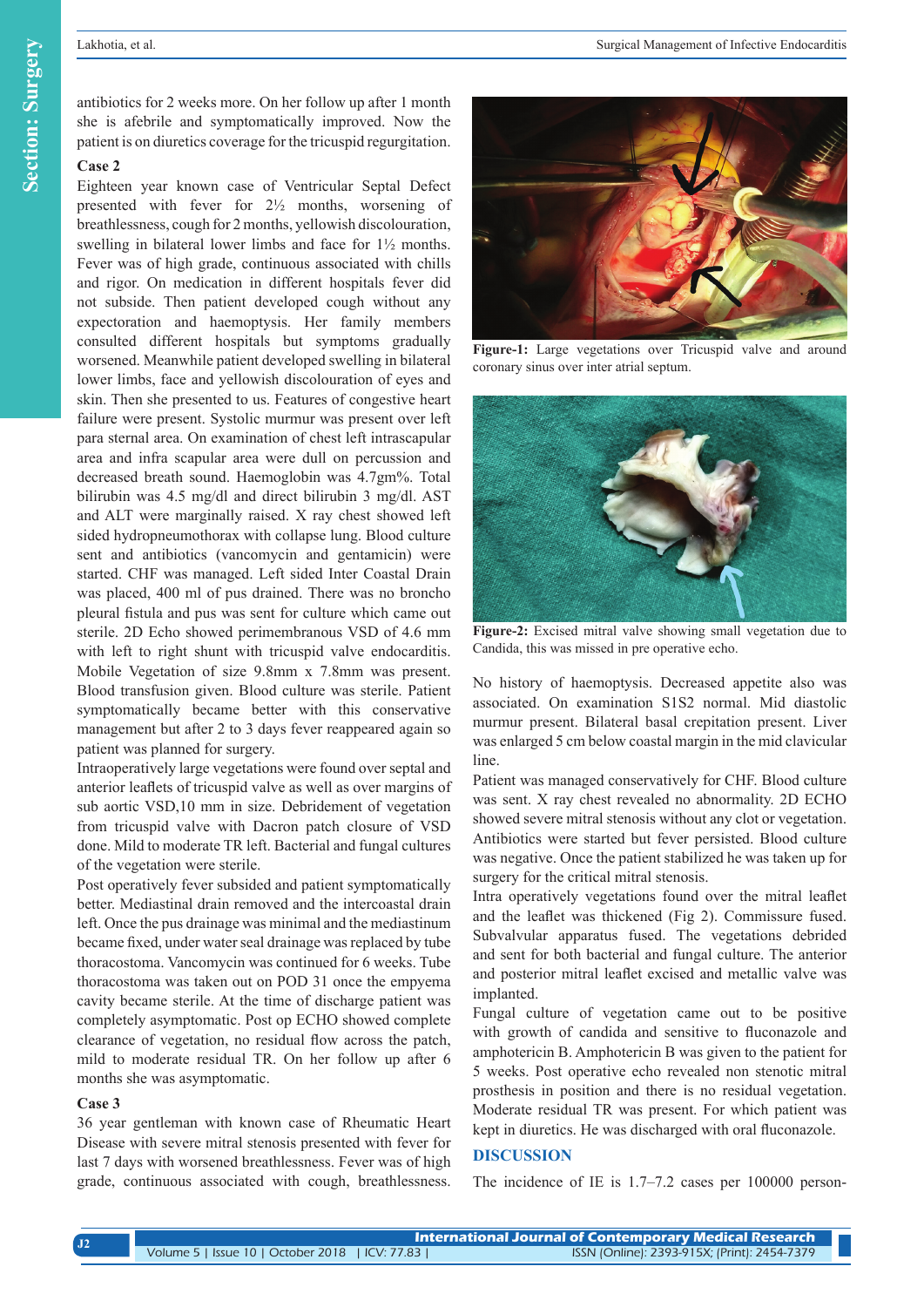antibiotics for 2 weeks more. On her follow up after 1 month she is afebrile and symptomatically improved. Now the patient is on diuretics coverage for the tricuspid regurgitation.

## **Case 2**

Eighteen year known case of Ventricular Septal Defect presented with fever for 2½ months, worsening of breathlessness, cough for 2 months, yellowish discolouration, swelling in bilateral lower limbs and face for 1½ months. Fever was of high grade, continuous associated with chills and rigor. On medication in different hospitals fever did not subside. Then patient developed cough without any expectoration and haemoptysis. Her family members consulted different hospitals but symptoms gradually worsened. Meanwhile patient developed swelling in bilateral lower limbs, face and yellowish discolouration of eyes and skin. Then she presented to us. Features of congestive heart failure were present. Systolic murmur was present over left para sternal area. On examination of chest left intrascapular area and infra scapular area were dull on percussion and decreased breath sound. Haemoglobin was 4.7gm%. Total bilirubin was 4.5 mg/dl and direct bilirubin 3 mg/dl. AST and ALT were marginally raised. X ray chest showed left sided hydropneumothorax with collapse lung. Blood culture sent and antibiotics (vancomycin and gentamicin) were started. CHF was managed. Left sided Inter Coastal Drain was placed, 400 ml of pus drained. There was no broncho pleural fistula and pus was sent for culture which came out sterile. 2D Echo showed perimembranous VSD of 4.6 mm with left to right shunt with tricuspid valve endocarditis. Mobile Vegetation of size 9.8mm x 7.8mm was present. Blood transfusion given. Blood culture was sterile. Patient symptomatically became better with this conservative management but after 2 to 3 days fever reappeared again so patient was planned for surgery.

Intraoperatively large vegetations were found over septal and anterior leaflets of tricuspid valve as well as over margins of sub aortic VSD,10 mm in size. Debridement of vegetation from tricuspid valve with Dacron patch closure of VSD done. Mild to moderate TR left. Bacterial and fungal cultures of the vegetation were sterile.

Post operatively fever subsided and patient symptomatically better. Mediastinal drain removed and the intercoastal drain left. Once the pus drainage was minimal and the mediastinum became fixed, under water seal drainage was replaced by tube thoracostoma. Vancomycin was continued for 6 weeks. Tube thoracostoma was taken out on POD 31 once the empyema cavity became sterile. At the time of discharge patient was completely asymptomatic. Post op ECHO showed complete clearance of vegetation, no residual flow across the patch, mild to moderate residual TR. On her follow up after 6 months she was asymptomatic.

#### **Case 3**

36 year gentleman with known case of Rheumatic Heart Disease with severe mitral stenosis presented with fever for last 7 days with worsened breathlessness. Fever was of high grade, continuous associated with cough, breathlessness.



**Figure-1:** Large vegetations over Tricuspid valve and around coronary sinus over inter atrial septum.



**Figure-2:** Excised mitral valve showing small vegetation due to Candida, this was missed in pre operative echo.

No history of haemoptysis. Decreased appetite also was associated. On examination S1S2 normal. Mid diastolic murmur present. Bilateral basal crepitation present. Liver was enlarged 5 cm below coastal margin in the mid clavicular line.

Patient was managed conservatively for CHF. Blood culture was sent. X ray chest revealed no abnormality. 2D ECHO showed severe mitral stenosis without any clot or vegetation. Antibiotics were started but fever persisted. Blood culture was negative. Once the patient stabilized he was taken up for surgery for the critical mitral stenosis.

Intra operatively vegetations found over the mitral leaflet and the leaflet was thickened (Fig 2). Commissure fused. Subvalvular apparatus fused. The vegetations debrided and sent for both bacterial and fungal culture. The anterior and posterior mitral leaflet excised and metallic valve was implanted.

Fungal culture of vegetation came out to be positive with growth of candida and sensitive to fluconazole and amphotericin B. Amphotericin B was given to the patient for 5 weeks. Post operative echo revealed non stenotic mitral prosthesis in position and there is no residual vegetation. Moderate residual TR was present. For which patient was kept in diuretics. He was discharged with oral fluconazole.

## **DISCUSSION**

The incidence of IE is 1.7–7.2 cases per 100000 person-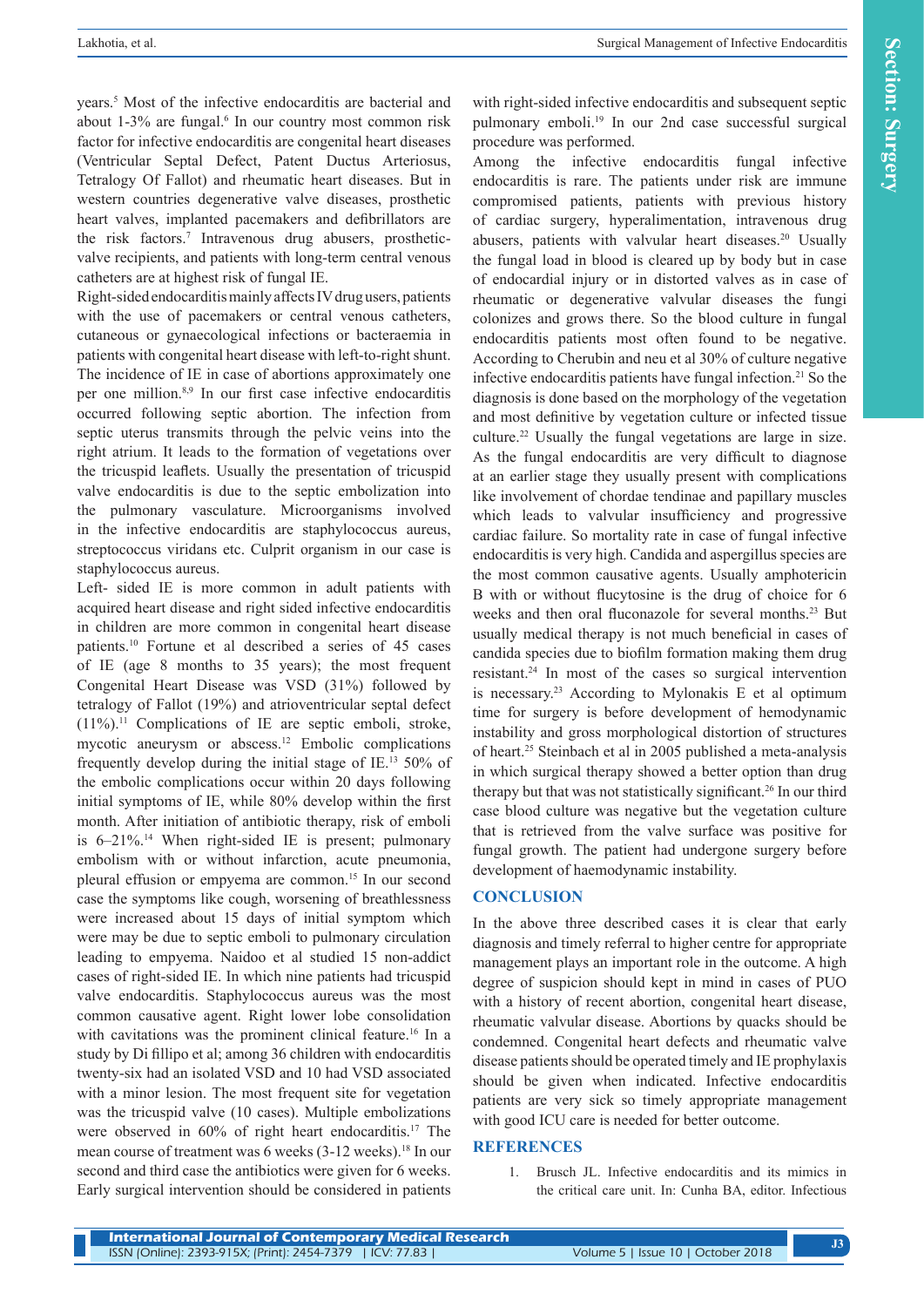years.5 Most of the infective endocarditis are bacterial and about 1-3% are fungal.<sup>6</sup> In our country most common risk factor for infective endocarditis are congenital heart diseases (Ventricular Septal Defect, Patent Ductus Arteriosus, Tetralogy Of Fallot) and rheumatic heart diseases. But in western countries degenerative valve diseases, prosthetic heart valves, implanted pacemakers and defibrillators are the risk factors.<sup>7</sup> Intravenous drug abusers, prostheticvalve recipients, and patients with long-term central venous catheters are at highest risk of fungal IE.

Right-sided endocarditis mainly affects IV drug users, patients with the use of pacemakers or central venous catheters, cutaneous or gynaecological infections or bacteraemia in patients with congenital heart disease with left-to-right shunt. The incidence of IE in case of abortions approximately one per one million.8,9 In our first case infective endocarditis occurred following septic abortion. The infection from septic uterus transmits through the pelvic veins into the right atrium. It leads to the formation of vegetations over the tricuspid leaflets. Usually the presentation of tricuspid valve endocarditis is due to the septic embolization into the pulmonary vasculature. Microorganisms involved in the infective endocarditis are staphylococcus aureus, streptococcus viridans etc. Culprit organism in our case is staphylococcus aureus.

Left- sided IE is more common in adult patients with acquired heart disease and right sided infective endocarditis in children are more common in congenital heart disease patients.<sup>10</sup> Fortune et al described a series of 45 cases of IE (age 8 months to 35 years); the most frequent Congenital Heart Disease was VSD (31%) followed by tetralogy of Fallot (19%) and atrioventricular septal defect (11%).11 Complications of IE are septic emboli, stroke, mycotic aneurysm or abscess.12 Embolic complications frequently develop during the initial stage of IE.13 50% of the embolic complications occur within 20 days following initial symptoms of IE, while 80% develop within the first month. After initiation of antibiotic therapy, risk of emboli is  $6-21\%$ .<sup>14</sup> When right-sided IE is present; pulmonary embolism with or without infarction, acute pneumonia, pleural effusion or empyema are common.15 In our second case the symptoms like cough, worsening of breathlessness were increased about 15 days of initial symptom which were may be due to septic emboli to pulmonary circulation leading to empyema. Naidoo et al studied 15 non-addict cases of right-sided IE. In which nine patients had tricuspid valve endocarditis. Staphylococcus aureus was the most common causative agent. Right lower lobe consolidation with cavitations was the prominent clinical feature.<sup>16</sup> In a study by Di fillipo et al; among 36 children with endocarditis twenty-six had an isolated VSD and 10 had VSD associated with a minor lesion. The most frequent site for vegetation was the tricuspid valve (10 cases). Multiple embolizations were observed in 60% of right heart endocarditis.<sup>17</sup> The mean course of treatment was 6 weeks (3-12 weeks).<sup>18</sup> In our second and third case the antibiotics were given for 6 weeks. Early surgical intervention should be considered in patients

with right-sided infective endocarditis and subsequent septic pulmonary emboli.19 In our 2nd case successful surgical procedure was performed.

Among the infective endocarditis fungal infective endocarditis is rare. The patients under risk are immune compromised patients, patients with previous history of cardiac surgery, hyperalimentation, intravenous drug abusers, patients with valvular heart diseases.<sup>20</sup> Usually the fungal load in blood is cleared up by body but in case of endocardial injury or in distorted valves as in case of rheumatic or degenerative valvular diseases the fungi colonizes and grows there. So the blood culture in fungal endocarditis patients most often found to be negative. According to Cherubin and neu et al 30% of culture negative infective endocarditis patients have fungal infection.<sup>21</sup> So the diagnosis is done based on the morphology of the vegetation and most definitive by vegetation culture or infected tissue culture.22 Usually the fungal vegetations are large in size. As the fungal endocarditis are very difficult to diagnose at an earlier stage they usually present with complications like involvement of chordae tendinae and papillary muscles which leads to valvular insufficiency and progressive cardiac failure. So mortality rate in case of fungal infective endocarditis is very high. Candida and aspergillus species are the most common causative agents. Usually amphotericin B with or without flucytosine is the drug of choice for 6 weeks and then oral fluconazole for several months.<sup>23</sup> But usually medical therapy is not much beneficial in cases of candida species due to biofilm formation making them drug resistant.24 In most of the cases so surgical intervention is necessary.<sup>23</sup> According to Mylonakis E et al optimum time for surgery is before development of hemodynamic instability and gross morphological distortion of structures of heart.25 Steinbach et al in 2005 published a meta-analysis in which surgical therapy showed a better option than drug therapy but that was not statistically significant.<sup>26</sup> In our third case blood culture was negative but the vegetation culture that is retrieved from the valve surface was positive for fungal growth. The patient had undergone surgery before development of haemodynamic instability.

# **CONCLUSION**

In the above three described cases it is clear that early diagnosis and timely referral to higher centre for appropriate management plays an important role in the outcome. A high degree of suspicion should kept in mind in cases of PUO with a history of recent abortion, congenital heart disease, rheumatic valvular disease. Abortions by quacks should be condemned. Congenital heart defects and rheumatic valve disease patients should be operated timely and IE prophylaxis should be given when indicated. Infective endocarditis patients are very sick so timely appropriate management with good ICU care is needed for better outcome.

# **REFERENCES**

1. Brusch JL. Infective endocarditis and its mimics in the critical care unit. In: Cunha BA, editor. Infectious